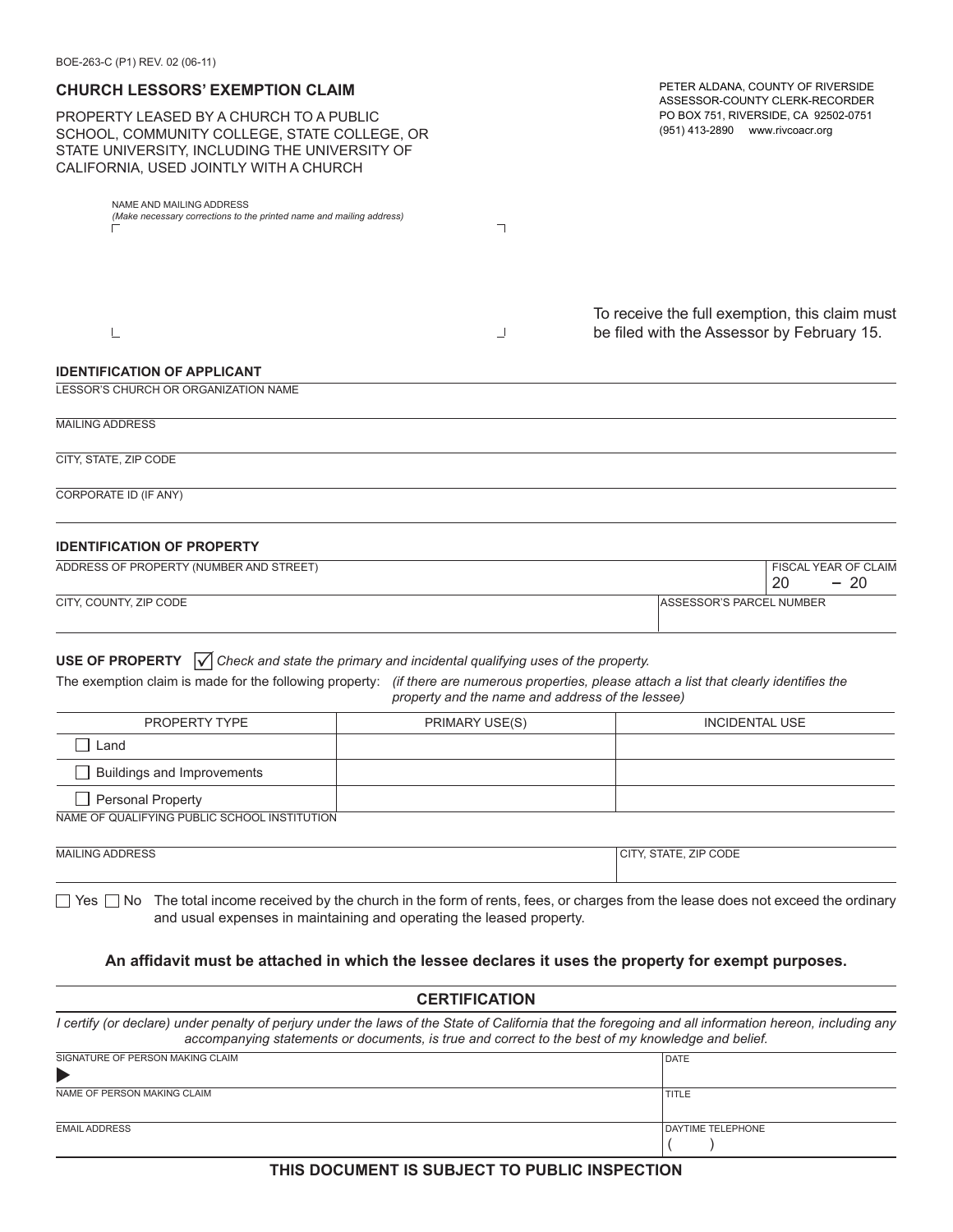| BOE-263-C (P1) REV. 02 (06-11)                                                                                                                                                                                                                                |                                                                                                   |                                                                                                                                                        |
|---------------------------------------------------------------------------------------------------------------------------------------------------------------------------------------------------------------------------------------------------------------|---------------------------------------------------------------------------------------------------|--------------------------------------------------------------------------------------------------------------------------------------------------------|
| <b>CHURCH LESSORS' EXEMPTION CLAIM</b>                                                                                                                                                                                                                        | PETER ALDANA, COUNTY OF RIVERSIDE<br>ASSESSOR-COUNTY CLERK-RECORDER                               |                                                                                                                                                        |
| PROPERTY LEASED BY A CHURCH TO A PUBLIC<br>SCHOOL, COMMUNITY COLLEGE, STATE COLLEGE, OR<br>STATE UNIVERSITY, INCLUDING THE UNIVERSITY OF<br>CALIFORNIA, USED JOINTLY WITH A CHURCH                                                                            | PO BOX 751, RIVERSIDE, CA 92502-0751<br>(951) 413-2890 www.rivcoacr.org                           |                                                                                                                                                        |
| NAME AND MAILING ADDRESS<br>(Make necessary corrections to the printed name and mailing address)                                                                                                                                                              | ┑                                                                                                 |                                                                                                                                                        |
|                                                                                                                                                                                                                                                               |                                                                                                   |                                                                                                                                                        |
|                                                                                                                                                                                                                                                               |                                                                                                   |                                                                                                                                                        |
|                                                                                                                                                                                                                                                               |                                                                                                   | To receive the full exemption, this claim must                                                                                                         |
| L                                                                                                                                                                                                                                                             | ┘                                                                                                 | be filed with the Assessor by February 15.                                                                                                             |
| <b>IDENTIFICATION OF APPLICANT</b>                                                                                                                                                                                                                            |                                                                                                   |                                                                                                                                                        |
| LESSOR'S CHURCH OR ORGANIZATION NAME                                                                                                                                                                                                                          |                                                                                                   |                                                                                                                                                        |
| <b>MAILING ADDRESS</b>                                                                                                                                                                                                                                        |                                                                                                   |                                                                                                                                                        |
| CITY, STATE, ZIP CODE                                                                                                                                                                                                                                         |                                                                                                   |                                                                                                                                                        |
| CORPORATE ID (IF ANY)                                                                                                                                                                                                                                         |                                                                                                   |                                                                                                                                                        |
|                                                                                                                                                                                                                                                               |                                                                                                   |                                                                                                                                                        |
| <b>IDENTIFICATION OF PROPERTY</b>                                                                                                                                                                                                                             |                                                                                                   |                                                                                                                                                        |
| ADDRESS OF PROPERTY (NUMBER AND STREET)                                                                                                                                                                                                                       |                                                                                                   | FISCAL YEAR OF CLAIM<br>20<br>$-20$                                                                                                                    |
| CITY, COUNTY, ZIP CODE                                                                                                                                                                                                                                        |                                                                                                   | ASSESSOR'S PARCEL NUMBER                                                                                                                               |
|                                                                                                                                                                                                                                                               |                                                                                                   |                                                                                                                                                        |
| <b>USE OF PROPERTY</b> $\sqrt{\ }$ Check and state the primary and incidental qualifying uses of the property.<br>The exemption claim is made for the following property: (if there are numerous properties, please attach a list that clearly identifies the | property and the name and address of the lessee)                                                  |                                                                                                                                                        |
| PROPERTY TYPE                                                                                                                                                                                                                                                 | PRIMARY USE(S)                                                                                    | <b>INCIDENTAL USE</b>                                                                                                                                  |
| Land                                                                                                                                                                                                                                                          |                                                                                                   |                                                                                                                                                        |
| Buildings and Improvements                                                                                                                                                                                                                                    |                                                                                                   |                                                                                                                                                        |
| <b>Personal Property</b>                                                                                                                                                                                                                                      |                                                                                                   |                                                                                                                                                        |
| NAME OF QUALIFYING PUBLIC SCHOOL INSTITUTION                                                                                                                                                                                                                  |                                                                                                   |                                                                                                                                                        |
| <b>MAILING ADDRESS</b>                                                                                                                                                                                                                                        |                                                                                                   | CITY, STATE, ZIP CODE                                                                                                                                  |
|                                                                                                                                                                                                                                                               |                                                                                                   |                                                                                                                                                        |
|                                                                                                                                                                                                                                                               | and usual expenses in maintaining and operating the leased property.                              | $\Box$ Yes $\Box$ No The total income received by the church in the form of rents, fees, or charges from the lease does not exceed the ordinary        |
|                                                                                                                                                                                                                                                               |                                                                                                   |                                                                                                                                                        |
|                                                                                                                                                                                                                                                               |                                                                                                   | An affidavit must be attached in which the lessee declares it uses the property for exempt purposes.                                                   |
|                                                                                                                                                                                                                                                               | <b>CERTIFICATION</b>                                                                              |                                                                                                                                                        |
|                                                                                                                                                                                                                                                               | accompanying statements or documents, is true and correct to the best of my knowledge and belief. | I certify (or declare) under penalty of perjury under the laws of the State of California that the foregoing and all information hereon, including any |
| SIGNATURE OF PERSON MAKING CLAIM                                                                                                                                                                                                                              |                                                                                                   | <b>DATE</b>                                                                                                                                            |
| NAME OF PERSON MAKING CLAIM                                                                                                                                                                                                                                   |                                                                                                   | <b>TITLE</b>                                                                                                                                           |
| <b>EMAIL ADDRESS</b>                                                                                                                                                                                                                                          |                                                                                                   | DAYTIME TELEPHONE                                                                                                                                      |

**THIS DOCUMENT IS SUBJECT TO PUBLIC INSPECTION**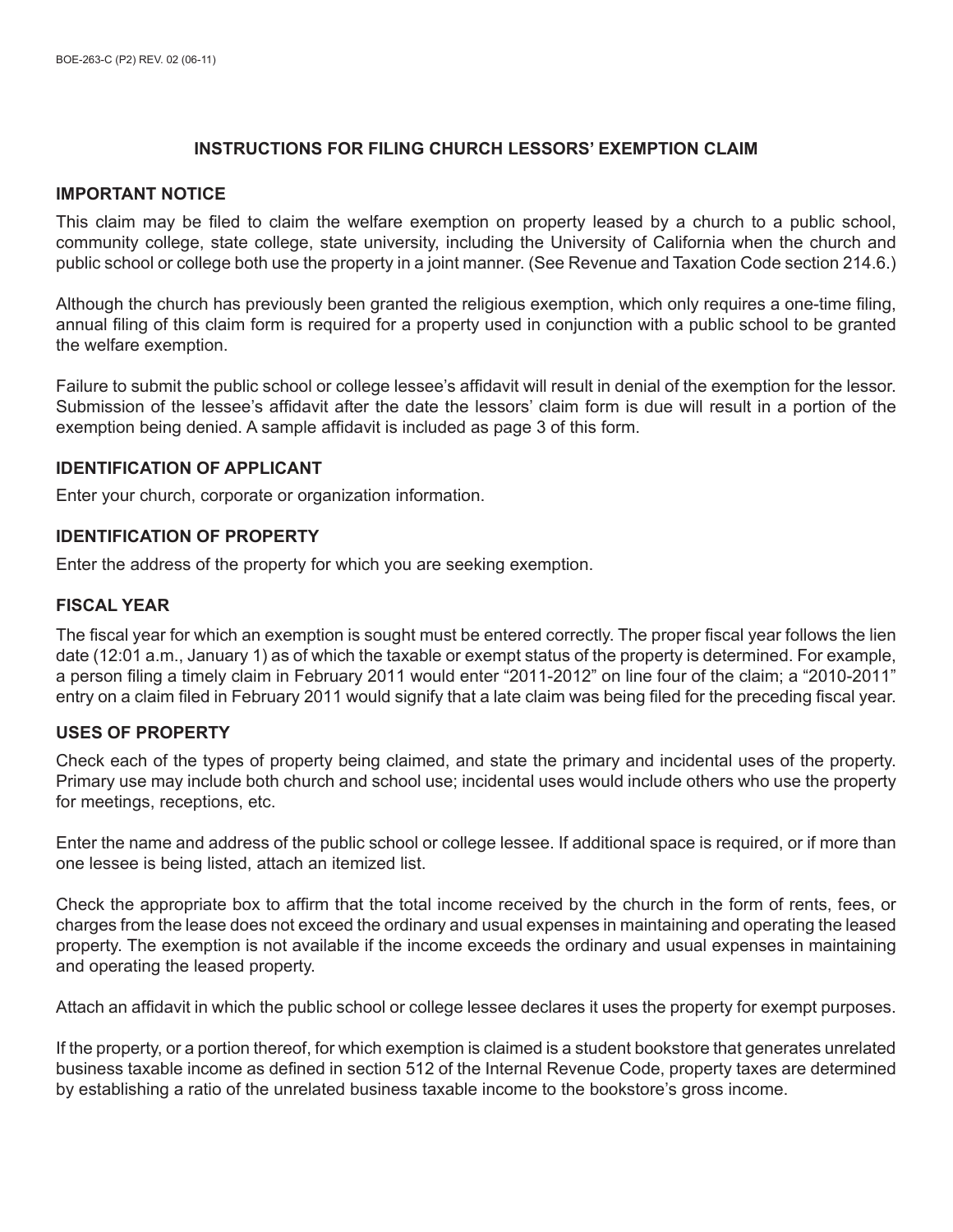# **INSTRUCTIONS FOR FILING CHURCH LESSORS' EXEMPTION CLAIM**

#### **IMPORTANT NOTICE**

This claim may be filed to claim the welfare exemption on property leased by a church to a public school, community college, state college, state university, including the University of California when the church and public school or college both use the property in a joint manner. (See Revenue and Taxation Code section 214.6.)

Although the church has previously been granted the religious exemption, which only requires a one-time filing, annual filing of this claim form is required for a property used in conjunction with a public school to be granted the welfare exemption.

Failure to submit the public school or college lessee's affidavit will result in denial of the exemption for the lessor. Submission of the lessee's affidavit after the date the lessors' claim form is due will result in a portion of the exemption being denied. A sample affidavit is included as page 3 of this form.

## **IDENTIFICATION OF APPLICANT**

Enter your church, corporate or organization information.

## **IDENTIFICATION OF PROPERTY**

Enter the address of the property for which you are seeking exemption.

## **FISCAL YEAR**

The fiscal year for which an exemption is sought must be entered correctly. The proper fiscal year follows the lien date (12:01 a.m., January 1) as of which the taxable or exempt status of the property is determined. For example, a person filing a timely claim in February 2011 would enter "2011-2012" on line four of the claim; a "2010-2011" entry on a claim filed in February 2011 would signify that a late claim was being filed for the preceding fiscal year.

## **USES OF PROPERTY**

Check each of the types of property being claimed, and state the primary and incidental uses of the property. Primary use may include both church and school use; incidental uses would include others who use the property for meetings, receptions, etc.

Enter the name and address of the public school or college lessee. If additional space is required, or if more than one lessee is being listed, attach an itemized list.

Check the appropriate box to affirm that the total income received by the church in the form of rents, fees, or charges from the lease does not exceed the ordinary and usual expenses in maintaining and operating the leased property. The exemption is not available if the income exceeds the ordinary and usual expenses in maintaining and operating the leased property.

Attach an affidavit in which the public school or college lessee declares it uses the property for exempt purposes.

If the property, or a portion thereof, for which exemption is claimed is a student bookstore that generates unrelated business taxable income as defined in section 512 of the Internal Revenue Code, property taxes are determined by establishing a ratio of the unrelated business taxable income to the bookstore's gross income.